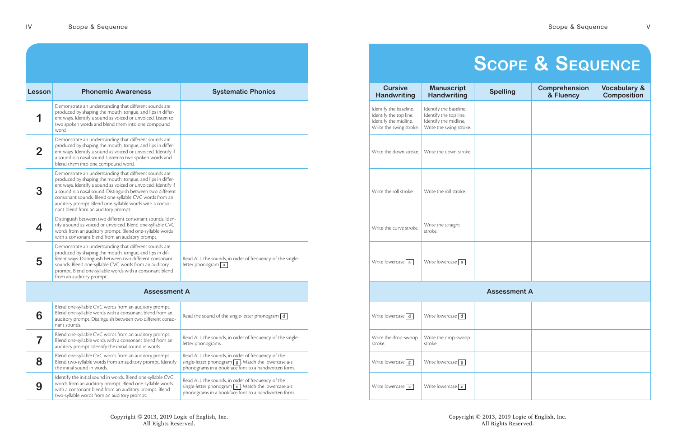Copyright © 2013, 2019 Logic of English, Inc. All Rights Reserved.

| Lesson       | <b>Phonemic Awareness</b>                                                                                                                                                                                                                                                                                                                                                                                        | <b>Systematic Phonics</b>                                                                                                                                                   |
|--------------|------------------------------------------------------------------------------------------------------------------------------------------------------------------------------------------------------------------------------------------------------------------------------------------------------------------------------------------------------------------------------------------------------------------|-----------------------------------------------------------------------------------------------------------------------------------------------------------------------------|
|              | Demonstrate an understanding that different sounds are<br>produced by shaping the mouth, tongue, and lips in differ-<br>ent ways. Identify a sound as voiced or unvoiced. Listen to<br>two spoken words and blend them into one compound<br>word.                                                                                                                                                                |                                                                                                                                                                             |
| $\mathbf{2}$ | Demonstrate an understanding that different sounds are<br>produced by shaping the mouth, tongue, and lips in differ-<br>ent ways. Identify a sound as voiced or unvoiced. Identify if<br>a sound is a nasal sound. Listen to two spoken words and<br>blend them into one compound word.                                                                                                                          |                                                                                                                                                                             |
| 3            | Demonstrate an understanding that different sounds are<br>produced by shaping the mouth, tongue, and lips in differ-<br>ent ways. Identify a sound as voiced or unvoiced. Identify if<br>a sound is a nasal sound. Distinguish between two different<br>consonant sounds. Blend one-syllable CVC words from an<br>auditory prompt. Blend one-syllable words with a conso-<br>nant blend from an auditory prompt. |                                                                                                                                                                             |
|              | Distinguish between two different consonant sounds. Iden-<br>tify a sound as voiced or unvoiced. Blend one-syllable CVC<br>words from an auditory prompt. Blend one-syllable words<br>with a consonant blend from an auditory prompt.                                                                                                                                                                            |                                                                                                                                                                             |
| 5            | Demonstrate an understanding that different sounds are<br>produced by shaping the mouth, tongue, and lips in dif-<br>ferent ways. Distinguish between two different consonant<br>sounds. Blend one-syllable CVC words from an auditory<br>prompt. Blend one-syllable words with a consonant blend<br>from an auditory prompt.                                                                                    | Read ALL the sounds, in order of frequency, of the single-<br>letter phonogram $\boxed{a}$ .                                                                                |
|              | <b>Assessment A</b>                                                                                                                                                                                                                                                                                                                                                                                              |                                                                                                                                                                             |
| 6            | Blend one-syllable CVC words from an auditory prompt.<br>Blend one-syllable words with a consonant blend from an<br>auditory prompt. Distinguish between two different conso-<br>nant sounds.                                                                                                                                                                                                                    | Read the sound of the single-letter phonogram $\boxed{d}$ .                                                                                                                 |
|              | Blend one-syllable CVC words from an auditory prompt.<br>Blend one-syllable words with a consonant blend from an<br>auditory prompt. Identify the initial sound in words.                                                                                                                                                                                                                                        | Read ALL the sounds, in order of frequency, of the single-<br>letter phonograms.                                                                                            |
| 8            | Blend one-syllable CVC words from an auditory prompt.<br>Blend two-syllable words from an auditory prompt. Identify<br>the initial sound in words.                                                                                                                                                                                                                                                               | Read ALL the sounds, in order of frequency, of the<br>single-letter phonogram $\boxed{g}$ . Match the lowercase a-z<br>phonograms in a bookface font to a handwritten form. |
| 9            | Identify the initial sound in words. Blend one-syllable CVC<br>words from an auditory prompt. Blend one-syllable words<br>with a consonant blend from an auditory prompt. Blend<br>two-syllable words from an auditory prompt.                                                                                                                                                                                   | Read ALL the sounds, in order of frequency, of the<br>single-letter phonogram $\boxed{c}$ . Match the lowercase a-z<br>phonograms in a bookface font to a handwritten form. |

| <b>Cursive</b><br><b>Handwriting</b>                                                                 | <b>Manuscript</b><br><b>Handwriting</b>                                                              | <b>Spelling</b>     | <b>Comprehension</b><br>& Fluency | <b>Vocabulary &amp;</b><br><b>Composition</b> |
|------------------------------------------------------------------------------------------------------|------------------------------------------------------------------------------------------------------|---------------------|-----------------------------------|-----------------------------------------------|
| Identify the baseline.<br>Identify the top line.<br>Identify the midline.<br>Write the swing stroke. | Identify the baseline.<br>Identify the top line.<br>Identify the midline.<br>Write the swing stroke. |                     |                                   |                                               |
| Write the down stroke.                                                                               | Write the down stroke.                                                                               |                     |                                   |                                               |
| Write the roll stroke.                                                                               | Write the roll stroke.                                                                               |                     |                                   |                                               |
| Write the curve stroke.                                                                              | Write the straight<br>stroke.                                                                        |                     |                                   |                                               |
| Write lowercase $\boxed{a}$ .                                                                        | Write lowercase $\boxed{a}$ .                                                                        |                     |                                   |                                               |
|                                                                                                      |                                                                                                      | <b>Assessment A</b> |                                   |                                               |
| Write lowercase $\boxed{d}$ .                                                                        | Write lowercase $\boxed{d}$ .                                                                        |                     |                                   |                                               |
| Write the drop-swoop<br>stroke.                                                                      | Write the drop-swoop<br>stroke.                                                                      |                     |                                   |                                               |
| Write lowercase $\boxed{g}$ .                                                                        | Write lowercase $\boxed{g}$ .                                                                        |                     |                                   |                                               |
| Write lowercase $\boxed{c}$ .                                                                        | Write lowercase $\boxed{c}$ .                                                                        |                     |                                   |                                               |

## **SCOPE & SEQUENCE**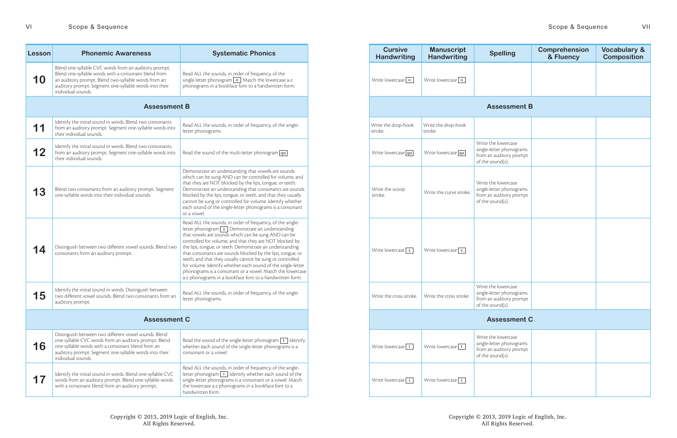Copyright © 2013, 2019 Logic of English, Inc. All Rights Reserved.

| Lesson              | <b>Phonemic Awareness</b>                                                                                                                                                                                                                             | <b>Systematic Phonics</b>                                                                                                                                                                                                                                                                                                                                                                                                                                                                                                                                                                                                   | <b>Cursive</b><br><b>Handwriting</b> | <b>Manuscript</b><br><b>Handwriting</b> | <b>Spelling</b>                                                                                |
|---------------------|-------------------------------------------------------------------------------------------------------------------------------------------------------------------------------------------------------------------------------------------------------|-----------------------------------------------------------------------------------------------------------------------------------------------------------------------------------------------------------------------------------------------------------------------------------------------------------------------------------------------------------------------------------------------------------------------------------------------------------------------------------------------------------------------------------------------------------------------------------------------------------------------------|--------------------------------------|-----------------------------------------|------------------------------------------------------------------------------------------------|
| 10                  | Blend one-syllable CVC words from an auditory prompt.<br>Blend one-syllable words with a consonant blend from<br>an auditory prompt. Blend two-syllable words from an<br>auditory prompt. Segment one-syllable words into their<br>individual sounds. | Read ALL the sounds, in order of frequency, of the<br>single-letter phonogram $\boxed{\text{o}}$ . Match the lowercase a-z<br>phonograms in a bookface font to a handwritten form.                                                                                                                                                                                                                                                                                                                                                                                                                                          | Write lowercase $\boxed{\text{o}}$ . | Write lowercase $\boxed{\text{o}}$ .    |                                                                                                |
|                     | <b>Assessment B</b>                                                                                                                                                                                                                                   |                                                                                                                                                                                                                                                                                                                                                                                                                                                                                                                                                                                                                             |                                      |                                         | <b>Assessment B</b>                                                                            |
| 11                  | Identify the initial sound in words. Blend two consonants<br>from an auditory prompt. Segment one-syllable words into<br>their individual sounds.                                                                                                     | Read ALL the sounds, in order of frequency, of the single-<br>letter phonograms.                                                                                                                                                                                                                                                                                                                                                                                                                                                                                                                                            | Write the drop-hook<br>stroke.       | Write the drop-hook<br>stroke.          |                                                                                                |
| 12                  | Identify the initial sound in words. Blend two consonants<br>from an auditory prompt. Segment one-syllable words into<br>their individual sounds.                                                                                                     | Read the sound of the multi-letter phonogram $\boxed{qu}$ .                                                                                                                                                                                                                                                                                                                                                                                                                                                                                                                                                                 | Write lowercase $\boxed{qu}$ .       | Write lowercase qu                      | Write the lowercase<br>single-letter phonograms<br>from an auditory prompt<br>of the sound(s). |
| 13                  | Blend two consonants from an auditory prompt. Segment<br>one-syllable words into their individual sounds.                                                                                                                                             | Demonstrate an understanding that vowels are sounds<br>which can be sung AND can be controlled for volume, and<br>that they are NOT blocked by the lips, tongue, or teeth.<br>Demonstrate an understanding that consonants are sounds<br>blocked by the lips, tongue, or teeth, and that they usually<br>cannot be sung or controlled for volume. Identify whether<br>each sound of the single-letter phonograms is a consonant<br>or a vowel.                                                                                                                                                                              | Write the scoop<br>stroke.           | Write the curve stroke.                 | Write the lowercase<br>single-letter phonograms<br>from an auditory prompt<br>of the sound(s). |
| 14                  | Distinguish between two different vowel sounds. Blend two<br>consonants from an auditory prompt.                                                                                                                                                      | Read ALL the sounds, in order of frequency, of the single-<br>letter phonogram $\boxed{s}$ . Demonstrate an understanding<br>that vowels are sounds which can be sung AND can be<br>controlled for volume, and that they are NOT blocked by<br>the lips, tongue, or teeth. Demonstrate an understanding<br>that consonants are sounds blocked by the lips, tongue, or<br>teeth, and that they usually cannot be sung or controlled<br>for volume. Identify whether each sound of the single-letter<br>phonograms is a consonant or a vowel. Match the lowercase<br>a-z phonograms in a bookface font to a handwritten form. | Write lowercase $\sqrt{s}$ .         | Write lowercase $\sqrt{s}$ .            |                                                                                                |
| 15                  | Identify the initial sound in words. Distinguish between<br>two different vowel sounds. Blend two consonants from an<br>auditory prompt.                                                                                                              | Read ALL the sounds, in order of frequency, of the single-<br>letter phonograms.                                                                                                                                                                                                                                                                                                                                                                                                                                                                                                                                            | Write the cross stroke.              | Write the cross stroke.                 | Write the lowercase<br>single-letter phonograms<br>from an auditory prompt<br>of the sound(s). |
| <b>Assessment C</b> |                                                                                                                                                                                                                                                       |                                                                                                                                                                                                                                                                                                                                                                                                                                                                                                                                                                                                                             |                                      |                                         | <b>Assessment C</b>                                                                            |
| 16                  | Distinguish between two different vowel sounds. Blend<br>one-syllable CVC words from an auditory prompt. Blend<br>one-syllable words with a consonant blend from an<br>auditory prompt. Segment one-syllable words into their<br>individual sounds.   | Read the sound of the single-letter phonogram $\lceil t \rceil$ . Identify<br>whether each sound of the single-letter phonograms is a<br>consonant or a vowel.                                                                                                                                                                                                                                                                                                                                                                                                                                                              | Write lowercase $\boxed{t}$ .        | Write lowercase $\boxed{t}$             | Write the lowercase<br>single-letter phonograms<br>from an auditory prompt<br>of the sound(s). |
| 17                  | Identify the initial sound in words. Blend one-syllable CVC<br>words from an auditory prompt. Blend one-syllable words<br>with a consonant blend from an auditory prompt.                                                                             | Read ALL the sounds, in order of frequency, of the single-<br>letter phonogram $\boxed{i}$ . Identify whether each sound of the<br>single-letter phonograms is a consonant or a vowel. Match<br>the lowercase a-z phonograms in a bookface font to a<br>handwritten form.                                                                                                                                                                                                                                                                                                                                                   | Write lowercase $\boxed{i}$ .        | Write lowercase $\boxed{\mathbf{i}}$    |                                                                                                |

| <b>Cursive</b><br><b>Handwriting</b> | <b>Manuscript</b><br><b>Handwriting</b> | <b>Spelling</b>                                                                                | <b>Comprehension</b><br>& Fluency | <b>Vocabulary &amp;</b><br><b>Composition</b> |  |  |  |
|--------------------------------------|-----------------------------------------|------------------------------------------------------------------------------------------------|-----------------------------------|-----------------------------------------------|--|--|--|
| Write lowercase $\boxed{\circ}$ .    | Write lowercase $\boxed{\text{o}}$ .    |                                                                                                |                                   |                                               |  |  |  |
|                                      |                                         | <b>Assessment B</b>                                                                            |                                   |                                               |  |  |  |
| Write the drop-hook<br>stroke.       | Write the drop-hook<br>stroke.          |                                                                                                |                                   |                                               |  |  |  |
| Write lowercase $\boxed{qu}$ .       | Write lowercase $\boxed{qu}$ .          | Write the lowercase<br>single-letter phonograms<br>from an auditory prompt<br>of the sound(s). |                                   |                                               |  |  |  |
| Write the scoop<br>stroke.           | Write the curve stroke.                 | Write the lowercase<br>single-letter phonograms<br>from an auditory prompt<br>of the sound(s). |                                   |                                               |  |  |  |
| Write lowercase $\boxed{s}$ .        | Write lowercase $\boxed{s}$ .           |                                                                                                |                                   |                                               |  |  |  |
| Write the cross stroke.              | Write the cross stroke.                 | Write the lowercase<br>single-letter phonograms<br>from an auditory prompt<br>of the sound(s). |                                   |                                               |  |  |  |
|                                      | <b>Assessment C</b>                     |                                                                                                |                                   |                                               |  |  |  |
| Write lowercase $\boxed{t}$ .        | Write lowercase $\boxed{t}$ .           | Write the lowercase<br>single-letter phonograms<br>from an auditory prompt<br>of the sound(s). |                                   |                                               |  |  |  |
| Write lowercase $\boxed{i}$ .        | Write lowercase $\boxed{i}$ .           |                                                                                                |                                   |                                               |  |  |  |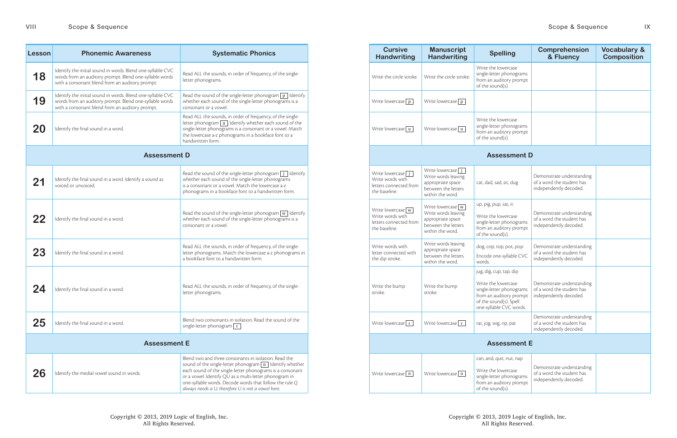| <b>Lesson</b> | <b>Phonemic Awareness</b>                                                                                                                                                 | <b>Systematic Phonics</b>                                                                                                                                                                                                                                                                                                                                          | <b>Cursive</b><br><b>Handwriting</b>                                                                  | <b>Manuscript</b><br><b>Handwriting</b>                                                                      |
|---------------|---------------------------------------------------------------------------------------------------------------------------------------------------------------------------|--------------------------------------------------------------------------------------------------------------------------------------------------------------------------------------------------------------------------------------------------------------------------------------------------------------------------------------------------------------------|-------------------------------------------------------------------------------------------------------|--------------------------------------------------------------------------------------------------------------|
| 18            | Identify the initial sound in words. Blend one-syllable CVC<br>words from an auditory prompt. Blend one-syllable words<br>with a consonant blend from an auditory prompt. | Read ALL the sounds, in order of frequency, of the single-<br>letter phonograms.                                                                                                                                                                                                                                                                                   | Write the circle stroke.                                                                              | Write the circle stroke.                                                                                     |
| 19            | Identify the initial sound in words. Blend one-syllable CVC<br>words from an auditory prompt. Blend one-syllable words<br>with a consonant blend from an auditory prompt. | Read the sound of the single-letter phonogram $\boxed{p}$ . Identify<br>whether each sound of the single-letter phonograms is a<br>consonant or a vowel.                                                                                                                                                                                                           | Write lowercase $\boxed{p}$ .                                                                         | Write lowercase $\boxed{p}$ .                                                                                |
| 20            | Identify the final sound in a word.                                                                                                                                       | Read ALL the sounds, in order of frequency, of the single-<br>letter phonogram $\boxed{u}$ . Identify whether each sound of the<br>single-letter phonograms is a consonant or a vowel. Match<br>the lowercase a-z phonograms in a bookface font to a<br>handwritten form.                                                                                          | Write lowercase $\boxed{u}$ .                                                                         | Write lowercase $\boxed{u}$ .                                                                                |
|               | <b>Assessment D</b>                                                                                                                                                       |                                                                                                                                                                                                                                                                                                                                                                    |                                                                                                       |                                                                                                              |
| 21            | Identify the final sound in a word. Identify a sound as<br>voiced or unvoiced.                                                                                            | Read the sound of the single-letter phonogram $j$ Identify<br>whether each sound of the single-letter phonograms<br>is a consonant or a vowel. Match the lowercase a-z<br>phonograms in a bookface font to a handwritten form.                                                                                                                                     | Write lowercase $\boxed{\mathbf{j}}$ .<br>Write words with<br>letters connected from<br>the baseline. | Write lowercase $j$ .<br>Write words leaving<br>appropriate space<br>between the letters<br>within the word. |
| 22            | Identify the final sound in a word.                                                                                                                                       | Read the sound of the single-letter phonogram $\boxed{w}$ . Identify<br>whether each sound of the single-letter phonograms is a<br>consonant or a vowel.                                                                                                                                                                                                           | Write lowercase $\boxed{w}$ .<br>Write words with<br>letters connected from<br>the baseline.          | Write lowercase $w$ .<br>Write words leaving<br>appropriate space<br>between the letters<br>within the word. |
| 23            | Identify the final sound in a word.                                                                                                                                       | Read ALL the sounds, in order of frequency, of the single-<br>letter phonograms. Match the lowercase a-z phonograms in<br>a bookface font to a handwritten form.                                                                                                                                                                                                   | Write words with<br>letter connected with<br>the dip stroke.                                          | Write words leaving<br>appropriate space<br>between the letters<br>within the word.                          |
| 24            | Identify the final sound in a word.                                                                                                                                       | Read ALL the sounds, in order of frequency, of the single-<br>letter phonograms.                                                                                                                                                                                                                                                                                   | Write the bump<br>stroke.                                                                             | Write the bump<br>stroke.                                                                                    |
| 25            | Identify the final sound in a word.                                                                                                                                       | Blend two consonants in isolation. Read the sound of the<br>single-letter phonogram $\boxed{r}$                                                                                                                                                                                                                                                                    | Write lowercase $r$ .                                                                                 | Write lowercase $r$ .                                                                                        |
|               | <b>Assessment E</b>                                                                                                                                                       |                                                                                                                                                                                                                                                                                                                                                                    |                                                                                                       |                                                                                                              |
| 26            | Identify the medial vowel sound in words.                                                                                                                                 | Blend two and three consonants in isolation. Read the<br>sound of the single-letter phonogram $\boxed{n}$ Identify whether<br>each sound of the single-letter phonograms is a consonant<br>or a vowel. Identify QU as a multi-letter phonogram in<br>one-syllable words. Decode words that follow the rule Q<br>always needs a U; therefore U is not a vowel here. | Write lowercase $\boxed{n}$ .                                                                         | Write lowercase $\boxed{n}$ .                                                                                |

|                                             | <b>Systematic Phonics</b>                                                                                                                                                                                                                                                                                                                                            | <b>Cursive</b><br><b>Handwriting</b>                                                         | <b>Manuscript</b><br><b>Handwriting</b>                                                                      | <b>Spelling</b>                                                                                                                                                                     | <b>Comprehension</b><br>& Fluency                                                | <b>Vocabulary &amp;</b><br><b>Composition</b> |
|---------------------------------------------|----------------------------------------------------------------------------------------------------------------------------------------------------------------------------------------------------------------------------------------------------------------------------------------------------------------------------------------------------------------------|----------------------------------------------------------------------------------------------|--------------------------------------------------------------------------------------------------------------|-------------------------------------------------------------------------------------------------------------------------------------------------------------------------------------|----------------------------------------------------------------------------------|-----------------------------------------------|
|                                             | Read ALL the sounds, in order of frequency, of the single-<br>letter phonograms.                                                                                                                                                                                                                                                                                     | Write the circle stroke.                                                                     | Write the circle stroke.                                                                                     | Write the lowercase<br>single-letter phonograms<br>from an auditory prompt<br>of the sound(s).                                                                                      |                                                                                  |                                               |
|                                             | Read the sound of the single-letter phonogram $\boxed{p}$ . Identify<br>whether each sound of the single-letter phonograms is a<br>consonant or a vowel.                                                                                                                                                                                                             | Write lowercase $\boxed{p}$ .                                                                | Write lowercase $\boxed{p}$ .                                                                                |                                                                                                                                                                                     |                                                                                  |                                               |
| handwritten form.                           | Read ALL the sounds, in order of frequency, of the single-<br>letter phonogram $\boxed{u}$ . Identify whether each sound of the<br>single-letter phonograms is a consonant or a vowel. Match<br>the lowercase a-z phonograms in a bookface font to a                                                                                                                 | Write lowercase $\boxed{u}$ .                                                                | Write lowercase $\boxed{u}$ .                                                                                | Write the lowercase<br>single-letter phonograms<br>from an auditory prompt<br>of the sound(s).                                                                                      |                                                                                  |                                               |
| <b>Assessment D</b>                         |                                                                                                                                                                                                                                                                                                                                                                      |                                                                                              |                                                                                                              | <b>Assessment D</b>                                                                                                                                                                 |                                                                                  |                                               |
|                                             | Read the sound of the single-letter phonogram $\boxed{j}$ . Identify<br>whether each sound of the single-letter phonograms<br>is a consonant or a vowel. Match the lowercase a-z<br>phonograms in a bookface font to a handwritten form.                                                                                                                             | Write lowercase $\boxed{j}$ .<br>Write words with<br>letters connected from<br>the baseline. | Write lowercase $j$ .<br>Write words leaving<br>appropriate space<br>between the letters<br>within the word. | cat, dad, sad, sit, dug                                                                                                                                                             | Demonstrate understanding<br>of a word the student has<br>independently decoded. |                                               |
| consonant or a vowel                        | Read the sound of the single-letter phonogram $\boxed{w}$ . Identify<br>whether each sound of the single-letter phonograms is a                                                                                                                                                                                                                                      | Write lowercase $\boxed{w}$ .<br>Write words with<br>letters connected from<br>the baseline. | Write lowercase $w$ .<br>Write words leaving<br>appropriate space<br>between the letters<br>within the word. | up, pig, pup, sat, it<br>Write the lowercase<br>single-letter phonograms<br>from an auditory prompt<br>of the sound(s).                                                             | Demonstrate understanding<br>of a word the student has<br>independently decoded. |                                               |
|                                             | Read ALL the sounds, in order of frequency, of the single-<br>letter phonograms. Match the lowercase a-z phonograms in<br>a bookface font to a handwritten form.                                                                                                                                                                                                     | Write words with<br>letter connected with<br>the dip stroke.                                 | Write words leaving<br>appropriate space<br>between the letters<br>within the word.                          | dog, cop, top, pot, pop<br>Encode one-syllable CVC<br>words.                                                                                                                        | Demonstrate understanding<br>of a word the student has<br>independently decoded. |                                               |
| letter phonograms.                          | Read ALL the sounds, in order of frequency, of the single-                                                                                                                                                                                                                                                                                                           | Write the bump<br>stroke.                                                                    | Write the bump<br>stroke.                                                                                    | jug, dig, cup, tap, dip<br>Write the lowercase<br>single-letter phonograms<br>from an auditory prompt   independently decoded.<br>of the sound(s). Spell<br>one-syllable CVC words. | Demonstrate understanding<br>of a word the student has                           |                                               |
| single-letter phonogram $\lceil r \rceil$ . | Blend two consonants in isolation. Read the sound of the                                                                                                                                                                                                                                                                                                             | Write lowercase $\boxed{r}$ .                                                                | Write lowercase $\boxed{r}$ .                                                                                | rat, jog, wig, rip, pat                                                                                                                                                             | Demonstrate understanding<br>of a word the student has<br>independently decoded. |                                               |
| <b>Assessment E</b>                         |                                                                                                                                                                                                                                                                                                                                                                      |                                                                                              |                                                                                                              | <b>Assessment E</b>                                                                                                                                                                 |                                                                                  |                                               |
|                                             | Blend two and three consonants in isolation. Read the<br>sound of the single-letter phonogram $\boxed{n}$ . Identify whether<br>each sound of the single-letter phonograms is a consonant<br>or a vowel. Identify QU as a multi-letter phonogram in<br>one-syllable words. Decode words that follow the rule Q<br>always needs a U; therefore U is not a vowel here. | Write lowercase $\boxed{n}$ .                                                                | Write lowercase $\boxed{n}$ .                                                                                | can, and, quit, nut, nap<br>Write the lowercase<br>single-letter phonograms<br>from an auditory prompt<br>of the sound(s).                                                          | Demonstrate understanding<br>of a word the student has<br>independently decoded. |                                               |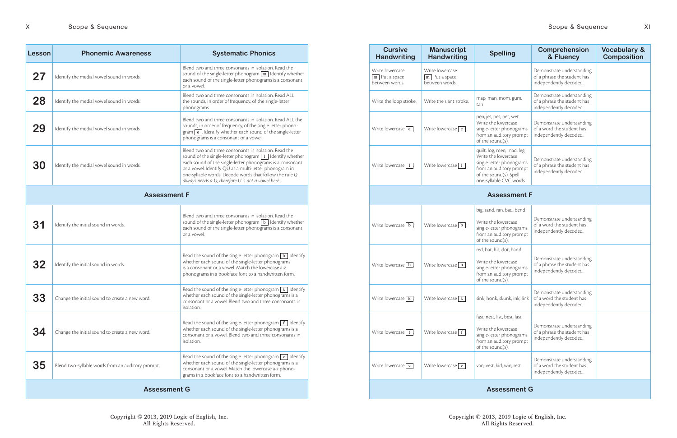| <b>Cursive</b><br><b>Handwriting</b>                              | <b>Manuscript</b><br><b>Handwriting</b>                           | <b>Spelling</b>                                                                                                                                              |
|-------------------------------------------------------------------|-------------------------------------------------------------------|--------------------------------------------------------------------------------------------------------------------------------------------------------------|
| Write lowercase<br>$\overline{m}$ . Put a space<br>between words. | Write lowercase<br>$\overline{m}$ . Put a space<br>between words. |                                                                                                                                                              |
| Write the loop stroke.                                            | Write the slant stroke.                                           | map, man, mom, gum,<br>tan                                                                                                                                   |
| Write lowercase e .                                               | Write lowercase $\boxed{e}$ .                                     | pen, jet, pet, net, wet<br>Write the lowercase<br>single-letter phonograms<br>from an auditory prompt<br>of the sound(s).                                    |
| Write lowercase $\boxed{1}$ .                                     | Write lowercase $\boxed{1}$                                       | quilt, log, men, mad, leg<br>Write the lowercase<br>single-letter phonograms<br>from an auditory prompt<br>of the sound(s). Spell<br>one-syllable CVC words. |
|                                                                   |                                                                   | <b>Assessment</b>                                                                                                                                            |
|                                                                   |                                                                   | big, sand, ran, bad, bend                                                                                                                                    |
| Write lowercase b.                                                | Write lowercase b.                                                | Write the lowercase<br>single-letter phonograms<br>from an auditory prompt<br>of the sound(s).                                                               |
|                                                                   |                                                                   | red, bat, hit, dot, band                                                                                                                                     |
| Write lowercase $\boxed{h}$ .                                     | Write lowercase $\boxed{h}$ .                                     | Write the lowercase<br>single-letter phonograms<br>from an auditory prompt<br>of the sound(s).                                                               |
| Write lowercase $\overline{k}$ .                                  | Write lowercase $\lfloor k \rfloor$ .                             | sink, honk, skunk, ink, link                                                                                                                                 |
|                                                                   |                                                                   | fast, nest, list, best, last                                                                                                                                 |
| Write lowercase   f                                               | Write lowercase   f                                               | Write the lowercase<br>single-letter phonograms<br>from an auditory prompt<br>of the sound(s).                                                               |
| Write lowercase $\vert v \vert$ .                                 | Write lowercase $\mathbf{v}$ .                                    | van, vest, kid, win, rest                                                                                                                                    |
|                                                                   |                                                                   | <b>Assessment</b>                                                                                                                                            |

| Lesson              | <b>Phonemic Awareness</b>                         | <b>Systematic Phonics</b>                                                                                                                                                                                                                                                                                                                                            | <b>Cursive</b><br><b>Handwriting</b>                           | <b>Manuscript</b><br><b>Handwriting</b>                        | <b>Spelling</b>                                                                                                                                              |
|---------------------|---------------------------------------------------|----------------------------------------------------------------------------------------------------------------------------------------------------------------------------------------------------------------------------------------------------------------------------------------------------------------------------------------------------------------------|----------------------------------------------------------------|----------------------------------------------------------------|--------------------------------------------------------------------------------------------------------------------------------------------------------------|
| 27                  | Identify the medial vowel sound in words.         | Blend two and three consonants in isolation. Read the<br>sound of the single-letter phonogram $\boxed{m}$ . Identify whether<br>each sound of the single-letter phonograms is a consonant<br>or a vowel.                                                                                                                                                             | Write lowercase<br>$\boxed{m}$ . Put a space<br>between words. | Write lowercase<br>$\boxed{m}$ . Put a space<br>between words. |                                                                                                                                                              |
| 28                  | Identify the medial vowel sound in words.         | Blend two and three consonants in isolation. Read ALL<br>the sounds, in order of frequency, of the single-letter<br>phonograms.                                                                                                                                                                                                                                      | Write the loop stroke.                                         | Write the slant stroke.                                        | map, man, mom, gum,<br>tan                                                                                                                                   |
| 29                  | Identify the medial vowel sound in words.         | Blend two and three consonants in isolation. Read ALL the<br>sounds, in order of frequency, of the single-letter phono-<br>$\sigma$ gram $\boxed{e}$ . Identify whether each sound of the single-letter<br>phonograms is a consonant or a vowel.                                                                                                                     | Write lowercase $\boxed{e}$                                    | Write lowercase $\boxed{e}$ .                                  | pen, jet, pet, net, wet<br>Write the lowercase<br>single-letter phonograms<br>from an auditory prompt<br>of the sound(s).                                    |
| 30                  | Identify the medial vowel sound in words.         | Blend two and three consonants in isolation. Read the<br>sound of the single-letter phonogram $\boxed{1}$ . Identify whether<br>each sound of the single-letter phonograms is a consonant<br>or a vowel. Identify QU as a multi-letter phonogram in<br>one-syllable words. Decode words that follow the rule Q<br>always needs a U; therefore U is not a vowel here. | Write lowercase $\boxed{1}$                                    | Write lowercase $\boxed{1}$ .                                  | quilt, log, men, mad, leg<br>Write the lowercase<br>single-letter phonograms<br>from an auditory prompt<br>of the sound(s). Spell<br>one-syllable CVC words. |
| <b>Assessment F</b> |                                                   |                                                                                                                                                                                                                                                                                                                                                                      |                                                                |                                                                | <b>Assessment F</b>                                                                                                                                          |
|                     |                                                   | Blend two and three consonants in isolation. Read the                                                                                                                                                                                                                                                                                                                |                                                                |                                                                | big, sand, ran, bad, bend                                                                                                                                    |
| 31                  | Identify the initial sound in words.              | sound of the single-letter phonogram $\boxed{b}$ . Identify whether<br>each sound of the single-letter phonograms is a consonant<br>or a vowel.                                                                                                                                                                                                                      | Write lowercase $\boxed{b}$                                    | Write lowercase $\boxed{b}$ .                                  | Write the lowercase<br>single-letter phonograms<br>from an auditory prompt<br>of the sound(s).                                                               |
| 32                  | Identify the initial sound in words.              | Read the sound of the single-letter phonogram $\boxed{h}$ . Identify<br>whether each sound of the single-letter phonograms<br>is a consonant or a vowel. Match the lowercase a-z<br>phonograms in a bookface font to a handwritten form.                                                                                                                             | Write lowercase $\boxed{h}$ .                                  | Write lowercase $\boxed{h}$ .                                  | red, bat, hit, dot, band<br>Write the lowercase<br>single-letter phonograms<br>from an auditory prompt<br>of the sound(s).                                   |
| 33                  | Change the initial sound to create a new word.    | Read the sound of the single-letter phonogram $\lceil k \rceil$ Identify<br>whether each sound of the single-letter phonograms is a<br>consonant or a vowel. Blend two and three consonants in<br>isolation.                                                                                                                                                         | Write lowercase $\overline{k}$ .                               | Write lowercase $\kappa$                                       | sink, honk, skunk, ink, link                                                                                                                                 |
| 34                  | Change the initial sound to create a new word.    | Read the sound of the single-letter phonogram $\lceil f \rceil$ Identify<br>whether each sound of the single-letter phonograms is a<br>consonant or a vowel. Blend two and three consonants in<br>isolation.                                                                                                                                                         | Write lowercase $f$ .                                          | Write lowercase $f$ .                                          | fast, nest, list, best, last<br>Write the lowercase<br>single-letter phonograms<br>from an auditory prompt<br>of the sound(s).                               |
| 35                  | Blend two-syllable words from an auditory prompt. | Read the sound of the single-letter phonogram $\boxed{v}$ . Identify<br>whether each sound of the single-letter phonograms is a<br>consonant or a vowel. Match the lowercase a-z phono-<br>grams in a bookface font to a handwritten form.                                                                                                                           | Write lowercase $\boxed{v}$ .                                  | Write lowercase $\boxed{v}$ .                                  | van, vest, kid, win, rest                                                                                                                                    |
|                     | <b>Assessment G</b>                               |                                                                                                                                                                                                                                                                                                                                                                      |                                                                |                                                                | <b>Assessment G</b>                                                                                                                                          |

| <b>Manuscript</b><br><b>Handwriting</b>                         | <b>Spelling</b>                                                                                                                                              | <b>Comprehension</b><br>& Fluency                                                  | <b>Vocabulary &amp;</b><br><b>Composition</b> |  |  |  |
|-----------------------------------------------------------------|--------------------------------------------------------------------------------------------------------------------------------------------------------------|------------------------------------------------------------------------------------|-----------------------------------------------|--|--|--|
| rite lowercase<br>$\overline{n}$ . Put a space<br>etween words. |                                                                                                                                                              | Demonstrate understanding<br>of a phrase the student has<br>independently decoded. |                                               |  |  |  |
| rite the slant stroke.                                          | map, man, mom, gum,<br>tan                                                                                                                                   | Demonstrate understanding<br>of a phrase the student has<br>independently decoded. |                                               |  |  |  |
| /rite lowercase   e  .                                          | pen, jet, pet, net, wet<br>Write the lowercase<br>single-letter phonograms<br>from an auditory prompt<br>of the sound(s).                                    | Demonstrate understanding<br>of a word the student has<br>independently decoded.   |                                               |  |  |  |
| rite lowercase   1                                              | quilt, log, men, mad, leg<br>Write the lowercase<br>single-letter phonograms<br>from an auditory prompt<br>of the sound(s). Spell<br>one-syllable CVC words. | Demonstrate understanding<br>of a phrase the student has<br>independently decoded. |                                               |  |  |  |
| <b>Assessment F</b>                                             |                                                                                                                                                              |                                                                                    |                                               |  |  |  |
|                                                                 | big, sand, ran, bad, bend                                                                                                                                    |                                                                                    |                                               |  |  |  |
| $\frac{1}{10}$ rite lowercase $\boxed{b}$ .                     | Write the lowercase<br>single-letter phonograms<br>from an auditory prompt<br>of the sound(s).                                                               | Demonstrate understanding<br>of a word the student has<br>independently decoded.   |                                               |  |  |  |
|                                                                 | red, bat, hit, dot, band                                                                                                                                     |                                                                                    |                                               |  |  |  |
| $\frac{1}{\pi}$ hite lowercase $\boxed{\hbar}$ .                | Write the lowercase<br>single-letter phonograms<br>from an auditory prompt<br>of the sound(s).                                                               | Demonstrate understanding<br>of a phrase the student has<br>independently decoded. |                                               |  |  |  |
| $\ell$ rite lowercase $\lfloor k \rfloor$ .                     | sink, honk, skunk, ink, link                                                                                                                                 | Demonstrate understanding<br>of a word the student has<br>independently decoded.   |                                               |  |  |  |
|                                                                 | fast, nest, list, best, last                                                                                                                                 |                                                                                    |                                               |  |  |  |
| $\sqrt{r}$ ite lowercase $\boxed{f}$ .                          | Write the lowercase<br>single-letter phonograms<br>from an auditory prompt<br>of the sound(s).                                                               | Demonstrate understanding<br>of a phrase the student has<br>independently decoded. |                                               |  |  |  |
| /rite lowercase   v  .                                          | van, vest, kid, win, rest                                                                                                                                    | Demonstrate understanding<br>of a word the student has<br>independently decoded.   |                                               |  |  |  |
|                                                                 | Assessment G                                                                                                                                                 |                                                                                    |                                               |  |  |  |